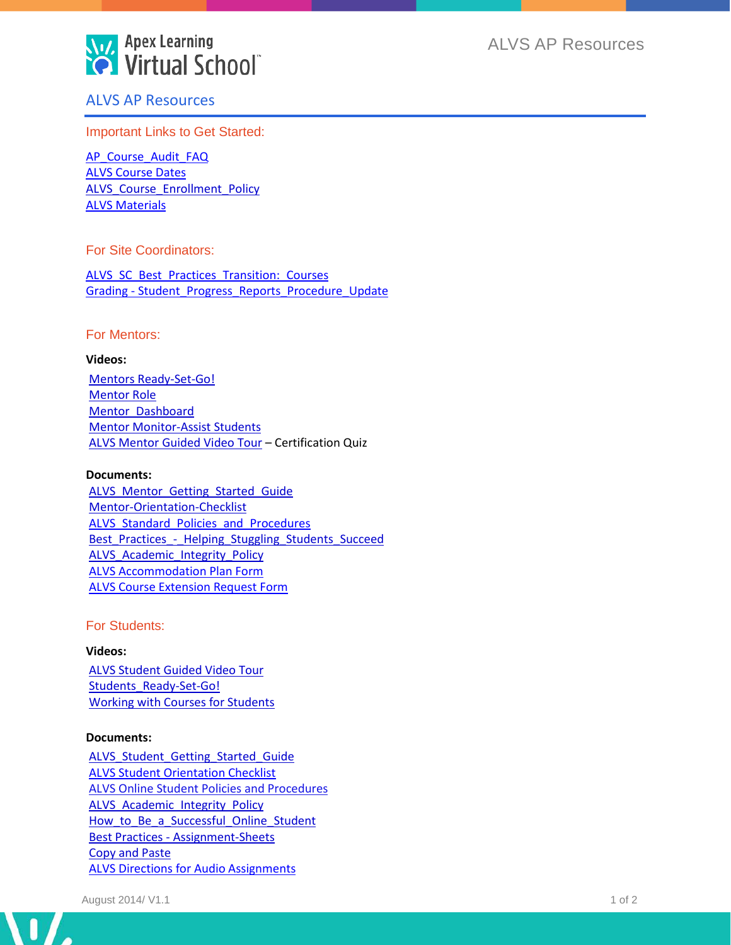

ALVS AP Resources

# ALVS AP Resources

Important Links to Get Started:

[AP\\_Course\\_Audit\\_FAQ](http://www.brainshark.com/apexlearning/alhs_student_tour) [ALVS Course Dates](http://www.apexlearning.com/documents/alvs_start-dates.pdf) [ALVS\\_Course\\_Enrollment\\_Policy](http://www.apexlearning.com/documents/ALVS_Course_Enrollment_Policy.pdf) [ALVS Materials](http://www.brainshark.com/apexlearning/coach-email)

### For Site Coordinators:

[ALVS\\_SC\\_Best\\_Practices\\_Transition:\\_Courses](http://www.apexlearning.com/documents/Network_Quick_Start_Guide.pdf) Grading - Student Progress\_Reports\_Procedure\_Update

### For Mentors:

#### **Videos:**

[Mentors Ready-Set-Go!](http://www.apexlearning.com/documents/ALVS_Student_Orientation_Checklist.docx) [Mentor Role](http://www.brainshark.com/apexlearning/mentor-role) [Mentor\\_Dashboard](http://www.apexlearning.com/documents/ALVS_sc_transition_courses.pdf) [Mentor Monitor-Assist Students](http://www.apexlearning.com/documents/ALVS_Accommodation_Plan_Form.pdf) [ALVS Mentor Guided Video Tour](http://www.brainshark.com/apexlearning/mentor-certificate) – Certification Quiz

#### **Documents:**

ALVS Mentor Getting Started Guide [Mentor-Orientation-Checklist](http://www.brainshark.com/apexlearning/gt_mentor_dashboard) ALVS Standard Policies and Procedures Best Practices - Helping Stuggling Students Succeed ALVS Academic Integrity Policy [ALVS Accommodation Plan Form](http://www.apexlearning.com/documents/ALVS_Directions_for_Audio_Assignments.pdf) [ALVS Course Extension Request Form](http://www.apexlearning.com/documents/alvs_form_course-extension.docx)

For Students:

#### **Videos:**

[ALVS Student Guided Video Tour](http://www.apexlearning.com/documents/ALVS_Online_Student_Policies_and_Procedures.pdf) Students Ready-Set-Go! [Working with Courses for Students](http://www.brainshark.com/apexlearning/gt_student_courses)

### **Documents:**

[ALVS\\_Student\\_Getting\\_Started\\_Guide](http://www.apexlearning.com/documents/ALVS_Student_Getting_Started_Guide.pdf) [ALVS Student Orientation Checklist](http://www.apexlearning.com/documents/BP_Planning-Digital-Curriculum-Programs.pdf) [ALVS Online Student Policies and Procedures](http://www.apexlearning.com/documents/ALVS_Standard_Policies_and_Procedures.pdf) ALVS Academic Integrity Policy How to Be a Successful Online Student Best Practices - [Assignment-Sheets](http://www.apexlearning.com/documents/BP_Starting-RTI-Programs.pdf) [Copy and Paste](http://www.apexlearning.com/documents/Copy_and_Paste.pdf) [ALVS Directions for Audio Assignments](http://www.apexlearning.com/documents/ALVS_Materials.pdf)

 $\mathbf{I}$ 

**Section**